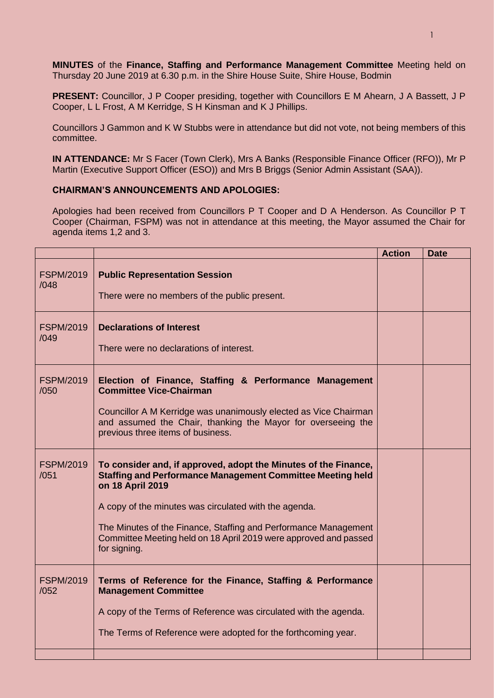**MINUTES** of the **Finance, Staffing and Performance Management Committee** Meeting held on Thursday 20 June 2019 at 6.30 p.m. in the Shire House Suite, Shire House, Bodmin

**PRESENT:** Councillor, J P Cooper presiding, together with Councillors E M Ahearn, J A Bassett, J P Cooper, L L Frost, A M Kerridge, S H Kinsman and K J Phillips.

Councillors J Gammon and K W Stubbs were in attendance but did not vote, not being members of this committee.

**IN ATTENDANCE:** Mr S Facer (Town Clerk), Mrs A Banks (Responsible Finance Officer (RFO)), Mr P Martin (Executive Support Officer (ESO)) and Mrs B Briggs (Senior Admin Assistant (SAA)).

## **CHAIRMAN'S ANNOUNCEMENTS AND APOLOGIES:**

Apologies had been received from Councillors P T Cooper and D A Henderson. As Councillor P T Cooper (Chairman, FSPM) was not in attendance at this meeting, the Mayor assumed the Chair for agenda items 1,2 and 3.

|                          |                                                                                                                                                                                                                                                                                                                                                                          | <b>Action</b> | <b>Date</b> |
|--------------------------|--------------------------------------------------------------------------------------------------------------------------------------------------------------------------------------------------------------------------------------------------------------------------------------------------------------------------------------------------------------------------|---------------|-------------|
| <b>FSPM/2019</b><br>/048 | <b>Public Representation Session</b><br>There were no members of the public present.                                                                                                                                                                                                                                                                                     |               |             |
| <b>FSPM/2019</b><br>/049 | <b>Declarations of Interest</b><br>There were no declarations of interest.                                                                                                                                                                                                                                                                                               |               |             |
| <b>FSPM/2019</b><br>/050 | Election of Finance, Staffing & Performance Management<br><b>Committee Vice-Chairman</b><br>Councillor A M Kerridge was unanimously elected as Vice Chairman<br>and assumed the Chair, thanking the Mayor for overseeing the<br>previous three items of business.                                                                                                        |               |             |
| <b>FSPM/2019</b><br>/051 | To consider and, if approved, adopt the Minutes of the Finance,<br><b>Staffing and Performance Management Committee Meeting held</b><br>on 18 April 2019<br>A copy of the minutes was circulated with the agenda.<br>The Minutes of the Finance, Staffing and Performance Management<br>Committee Meeting held on 18 April 2019 were approved and passed<br>for signing. |               |             |
| <b>FSPM/2019</b><br>/052 | Terms of Reference for the Finance, Staffing & Performance<br><b>Management Committee</b><br>A copy of the Terms of Reference was circulated with the agenda.<br>The Terms of Reference were adopted for the forthcoming year.                                                                                                                                           |               |             |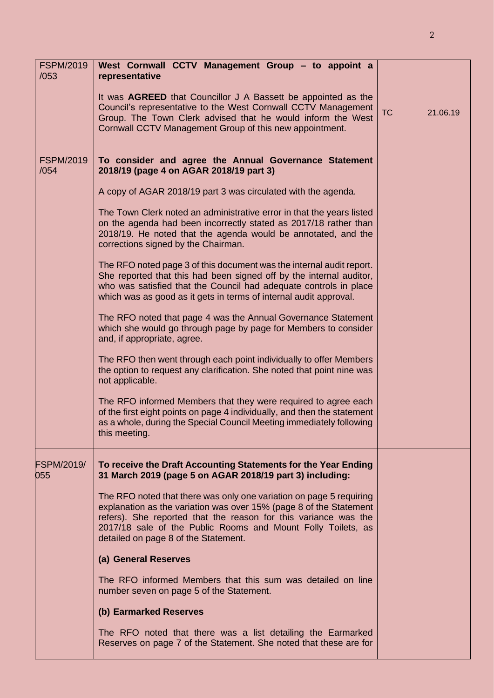| <b>FSPM/2019</b><br>/053 | West Cornwall CCTV Management Group - to appoint a<br>representative                                                                                                                                                                                                                                                 |           |          |
|--------------------------|----------------------------------------------------------------------------------------------------------------------------------------------------------------------------------------------------------------------------------------------------------------------------------------------------------------------|-----------|----------|
|                          | It was <b>AGREED</b> that Councillor J A Bassett be appointed as the<br>Council's representative to the West Cornwall CCTV Management<br>Group. The Town Clerk advised that he would inform the West<br>Cornwall CCTV Management Group of this new appointment.                                                      | <b>TC</b> | 21.06.19 |
| <b>FSPM/2019</b><br>/054 | To consider and agree the Annual Governance Statement<br>2018/19 (page 4 on AGAR 2018/19 part 3)                                                                                                                                                                                                                     |           |          |
|                          | A copy of AGAR 2018/19 part 3 was circulated with the agenda.                                                                                                                                                                                                                                                        |           |          |
|                          | The Town Clerk noted an administrative error in that the years listed<br>on the agenda had been incorrectly stated as 2017/18 rather than<br>2018/19. He noted that the agenda would be annotated, and the<br>corrections signed by the Chairman.                                                                    |           |          |
|                          | The RFO noted page 3 of this document was the internal audit report.<br>She reported that this had been signed off by the internal auditor,<br>who was satisfied that the Council had adequate controls in place<br>which was as good as it gets in terms of internal audit approval.                                |           |          |
|                          | The RFO noted that page 4 was the Annual Governance Statement<br>which she would go through page by page for Members to consider<br>and, if appropriate, agree.                                                                                                                                                      |           |          |
|                          | The RFO then went through each point individually to offer Members<br>the option to request any clarification. She noted that point nine was<br>not applicable.                                                                                                                                                      |           |          |
|                          | The RFO informed Members that they were required to agree each<br>of the first eight points on page 4 individually, and then the statement<br>as a whole, during the Special Council Meeting immediately following<br>this meeting.                                                                                  |           |          |
| <b>FSPM/2019/</b><br>055 | To receive the Draft Accounting Statements for the Year Ending<br>31 March 2019 (page 5 on AGAR 2018/19 part 3) including:                                                                                                                                                                                           |           |          |
|                          | The RFO noted that there was only one variation on page 5 requiring<br>explanation as the variation was over 15% (page 8 of the Statement<br>refers). She reported that the reason for this variance was the<br>2017/18 sale of the Public Rooms and Mount Folly Toilets, as<br>detailed on page 8 of the Statement. |           |          |
|                          | (a) General Reserves                                                                                                                                                                                                                                                                                                 |           |          |
|                          | The RFO informed Members that this sum was detailed on line<br>number seven on page 5 of the Statement.                                                                                                                                                                                                              |           |          |
|                          | (b) Earmarked Reserves                                                                                                                                                                                                                                                                                               |           |          |
|                          | The RFO noted that there was a list detailing the Earmarked<br>Reserves on page 7 of the Statement. She noted that these are for                                                                                                                                                                                     |           |          |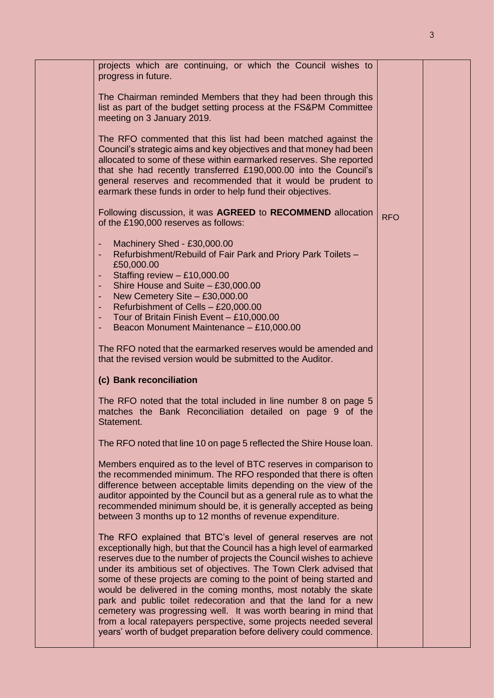|  | projects which are continuing, or which the Council wishes to<br>progress in future.                                                                                                                                                                                                                                                                                                                                                                                                                                                                                                                                                                                                                               |            |  |
|--|--------------------------------------------------------------------------------------------------------------------------------------------------------------------------------------------------------------------------------------------------------------------------------------------------------------------------------------------------------------------------------------------------------------------------------------------------------------------------------------------------------------------------------------------------------------------------------------------------------------------------------------------------------------------------------------------------------------------|------------|--|
|  | The Chairman reminded Members that they had been through this<br>list as part of the budget setting process at the FS&PM Committee<br>meeting on 3 January 2019.                                                                                                                                                                                                                                                                                                                                                                                                                                                                                                                                                   |            |  |
|  | The RFO commented that this list had been matched against the<br>Council's strategic aims and key objectives and that money had been<br>allocated to some of these within earmarked reserves. She reported<br>that she had recently transferred £190,000.00 into the Council's<br>general reserves and recommended that it would be prudent to<br>earmark these funds in order to help fund their objectives.                                                                                                                                                                                                                                                                                                      |            |  |
|  | Following discussion, it was AGREED to RECOMMEND allocation<br>of the £190,000 reserves as follows:                                                                                                                                                                                                                                                                                                                                                                                                                                                                                                                                                                                                                | <b>RFO</b> |  |
|  | Machinery Shed - £30,000.00<br>٠<br>Refurbishment/Rebuild of Fair Park and Priory Park Toilets -<br>$\blacksquare$<br>£50,000.00<br>Staffing review $-$ £10,000.00<br>$\blacksquare$<br>Shire House and Suite - £30,000.00<br>$\blacksquare$<br>New Cemetery Site - £30,000.00<br>$\blacksquare$<br>Refurbishment of Cells - £20,000.00<br>٠<br>Tour of Britain Finish Event - £10,000.00<br>٠<br>Beacon Monument Maintenance - £10,000.00<br>٠                                                                                                                                                                                                                                                                    |            |  |
|  | The RFO noted that the earmarked reserves would be amended and<br>that the revised version would be submitted to the Auditor.                                                                                                                                                                                                                                                                                                                                                                                                                                                                                                                                                                                      |            |  |
|  | (c) Bank reconciliation                                                                                                                                                                                                                                                                                                                                                                                                                                                                                                                                                                                                                                                                                            |            |  |
|  | The RFO noted that the total included in line number 8 on page 5<br>matches the Bank Reconciliation detailed on page 9 of the<br>Statement.                                                                                                                                                                                                                                                                                                                                                                                                                                                                                                                                                                        |            |  |
|  | The RFO noted that line 10 on page 5 reflected the Shire House loan.                                                                                                                                                                                                                                                                                                                                                                                                                                                                                                                                                                                                                                               |            |  |
|  | Members enquired as to the level of BTC reserves in comparison to<br>the recommended minimum. The RFO responded that there is often<br>difference between acceptable limits depending on the view of the<br>auditor appointed by the Council but as a general rule as to what the<br>recommended minimum should be, it is generally accepted as being<br>between 3 months up to 12 months of revenue expenditure.                                                                                                                                                                                                                                                                                                  |            |  |
|  | The RFO explained that BTC's level of general reserves are not<br>exceptionally high, but that the Council has a high level of earmarked<br>reserves due to the number of projects the Council wishes to achieve<br>under its ambitious set of objectives. The Town Clerk advised that<br>some of these projects are coming to the point of being started and<br>would be delivered in the coming months, most notably the skate<br>park and public toilet redecoration and that the land for a new<br>cemetery was progressing well. It was worth bearing in mind that<br>from a local ratepayers perspective, some projects needed several<br>years' worth of budget preparation before delivery could commence. |            |  |
|  |                                                                                                                                                                                                                                                                                                                                                                                                                                                                                                                                                                                                                                                                                                                    |            |  |

3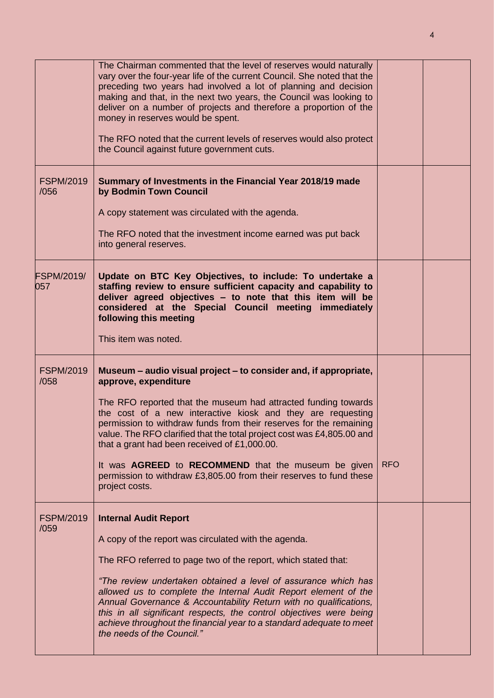|                          | The Chairman commented that the level of reserves would naturally<br>vary over the four-year life of the current Council. She noted that the<br>preceding two years had involved a lot of planning and decision<br>making and that, in the next two years, the Council was looking to<br>deliver on a number of projects and therefore a proportion of the<br>money in reserves would be spent.<br>The RFO noted that the current levels of reserves would also protect<br>the Council against future government cuts.                                                                 |            |  |
|--------------------------|----------------------------------------------------------------------------------------------------------------------------------------------------------------------------------------------------------------------------------------------------------------------------------------------------------------------------------------------------------------------------------------------------------------------------------------------------------------------------------------------------------------------------------------------------------------------------------------|------------|--|
| <b>FSPM/2019</b><br>/056 | Summary of Investments in the Financial Year 2018/19 made<br>by Bodmin Town Council<br>A copy statement was circulated with the agenda.<br>The RFO noted that the investment income earned was put back<br>into general reserves.                                                                                                                                                                                                                                                                                                                                                      |            |  |
| <b>FSPM/2019/</b><br>057 | Update on BTC Key Objectives, to include: To undertake a<br>staffing review to ensure sufficient capacity and capability to<br>deliver agreed objectives - to note that this item will be<br>considered at the Special Council meeting immediately<br>following this meeting<br>This item was noted.                                                                                                                                                                                                                                                                                   |            |  |
| <b>FSPM/2019</b><br>/058 | Museum – audio visual project – to consider and, if appropriate,<br>approve, expenditure<br>The RFO reported that the museum had attracted funding towards<br>the cost of a new interactive kiosk and they are requesting<br>permission to withdraw funds from their reserves for the remaining<br>value. The RFO clarified that the total project cost was £4,805.00 and<br>that a grant had been received of £1,000.00.<br>It was <b>AGREED</b> to <b>RECOMMEND</b> that the museum be given<br>permission to withdraw £3,805.00 from their reserves to fund these<br>project costs. | <b>RFO</b> |  |
| <b>FSPM/2019</b><br>/059 | <b>Internal Audit Report</b><br>A copy of the report was circulated with the agenda.<br>The RFO referred to page two of the report, which stated that:<br>"The review undertaken obtained a level of assurance which has<br>allowed us to complete the Internal Audit Report element of the<br>Annual Governance & Accountability Return with no qualifications,<br>this in all significant respects, the control objectives were being<br>achieve throughout the financial year to a standard adequate to meet<br>the needs of the Council."                                          |            |  |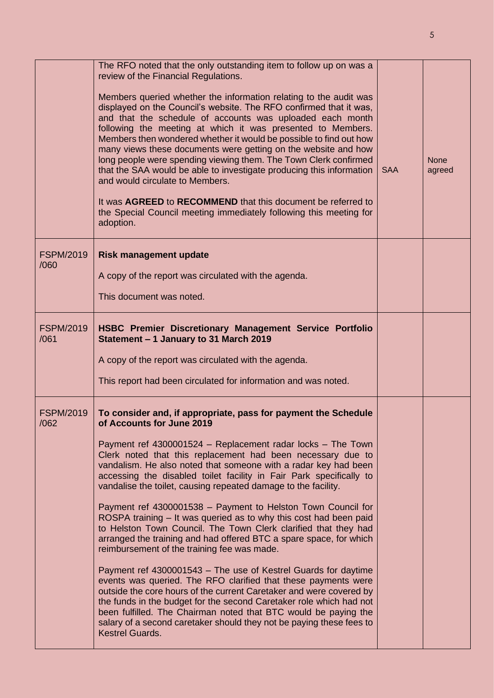|                          | The RFO noted that the only outstanding item to follow up on was a<br>review of the Financial Regulations.<br>Members queried whether the information relating to the audit was<br>displayed on the Council's website. The RFO confirmed that it was,<br>and that the schedule of accounts was uploaded each month<br>following the meeting at which it was presented to Members.<br>Members then wondered whether it would be possible to find out how<br>many views these documents were getting on the website and how<br>long people were spending viewing them. The Town Clerk confirmed<br>that the SAA would be able to investigate producing this information<br>and would circulate to Members.<br>It was AGREED to RECOMMEND that this document be referred to<br>the Special Council meeting immediately following this meeting for<br>adoption.                                                                                                                                                                                                                                                                                                                                                               | <b>SAA</b> | <b>None</b><br>agreed |
|--------------------------|---------------------------------------------------------------------------------------------------------------------------------------------------------------------------------------------------------------------------------------------------------------------------------------------------------------------------------------------------------------------------------------------------------------------------------------------------------------------------------------------------------------------------------------------------------------------------------------------------------------------------------------------------------------------------------------------------------------------------------------------------------------------------------------------------------------------------------------------------------------------------------------------------------------------------------------------------------------------------------------------------------------------------------------------------------------------------------------------------------------------------------------------------------------------------------------------------------------------------|------------|-----------------------|
| <b>FSPM/2019</b><br>/060 | <b>Risk management update</b>                                                                                                                                                                                                                                                                                                                                                                                                                                                                                                                                                                                                                                                                                                                                                                                                                                                                                                                                                                                                                                                                                                                                                                                             |            |                       |
|                          | A copy of the report was circulated with the agenda.<br>This document was noted.                                                                                                                                                                                                                                                                                                                                                                                                                                                                                                                                                                                                                                                                                                                                                                                                                                                                                                                                                                                                                                                                                                                                          |            |                       |
| <b>FSPM/2019</b><br>/061 | HSBC Premier Discretionary Management Service Portfolio<br>Statement - 1 January to 31 March 2019<br>A copy of the report was circulated with the agenda.<br>This report had been circulated for information and was noted.                                                                                                                                                                                                                                                                                                                                                                                                                                                                                                                                                                                                                                                                                                                                                                                                                                                                                                                                                                                               |            |                       |
| <b>FSPM/2019</b><br>/062 | To consider and, if appropriate, pass for payment the Schedule<br>of Accounts for June 2019<br>Payment ref 4300001524 - Replacement radar locks - The Town<br>Clerk noted that this replacement had been necessary due to<br>vandalism. He also noted that someone with a radar key had been<br>accessing the disabled toilet facility in Fair Park specifically to<br>vandalise the toilet, causing repeated damage to the facility.<br>Payment ref 4300001538 - Payment to Helston Town Council for<br>ROSPA training – It was queried as to why this cost had been paid<br>to Helston Town Council. The Town Clerk clarified that they had<br>arranged the training and had offered BTC a spare space, for which<br>reimbursement of the training fee was made.<br>Payment ref 4300001543 - The use of Kestrel Guards for daytime<br>events was queried. The RFO clarified that these payments were<br>outside the core hours of the current Caretaker and were covered by<br>the funds in the budget for the second Caretaker role which had not<br>been fulfilled. The Chairman noted that BTC would be paying the<br>salary of a second caretaker should they not be paying these fees to<br><b>Kestrel Guards.</b> |            |                       |